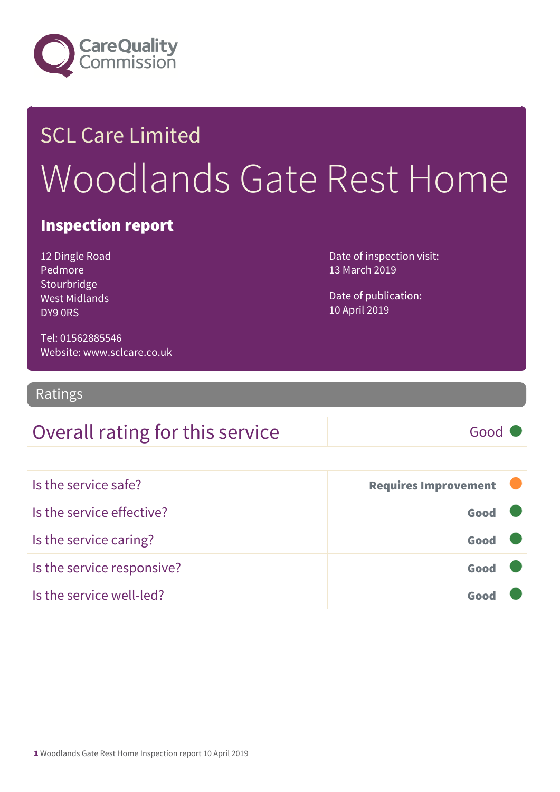

## SCL Care Limited Woodlands Gate Rest Home

#### Inspection report

12 Dingle Road Pedmore Stourbridge West Midlands DY9 0RS

Date of inspection visit: 13 March 2019

Date of publication: 10 April 2019

Tel: 01562885546 Website: www.sclcare.co.uk

Ratings

### Overall rating for this service Fig. 6000

| Is the service safe?       | <b>Requires Improvement</b> |  |
|----------------------------|-----------------------------|--|
| Is the service effective?  | Good                        |  |
| Is the service caring?     | Good                        |  |
| Is the service responsive? | Good                        |  |
| Is the service well-led?   |                             |  |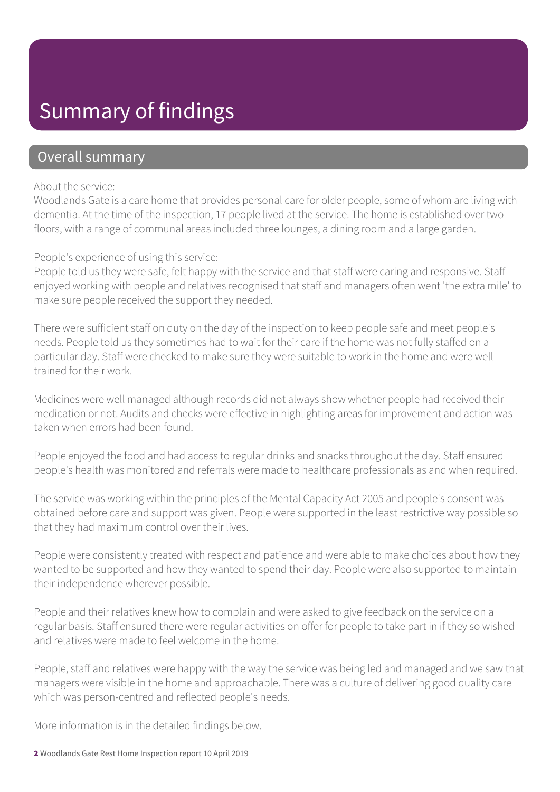### Summary of findings

#### Overall summary

#### About the service:

Woodlands Gate is a care home that provides personal care for older people, some of whom are living with dementia. At the time of the inspection, 17 people lived at the service. The home is established over two floors, with a range of communal areas included three lounges, a dining room and a large garden.

#### People's experience of using this service:

People told us they were safe, felt happy with the service and that staff were caring and responsive. Staff enjoyed working with people and relatives recognised that staff and managers often went 'the extra mile' to make sure people received the support they needed.

There were sufficient staff on duty on the day of the inspection to keep people safe and meet people's needs. People told us they sometimes had to wait for their care if the home was not fully staffed on a particular day. Staff were checked to make sure they were suitable to work in the home and were well trained for their work.

Medicines were well managed although records did not always show whether people had received their medication or not. Audits and checks were effective in highlighting areas for improvement and action was taken when errors had been found.

People enjoyed the food and had access to regular drinks and snacks throughout the day. Staff ensured people's health was monitored and referrals were made to healthcare professionals as and when required.

The service was working within the principles of the Mental Capacity Act 2005 and people's consent was obtained before care and support was given. People were supported in the least restrictive way possible so that they had maximum control over their lives.

People were consistently treated with respect and patience and were able to make choices about how they wanted to be supported and how they wanted to spend their day. People were also supported to maintain their independence wherever possible.

People and their relatives knew how to complain and were asked to give feedback on the service on a regular basis. Staff ensured there were regular activities on offer for people to take part in if they so wished and relatives were made to feel welcome in the home.

People, staff and relatives were happy with the way the service was being led and managed and we saw that managers were visible in the home and approachable. There was a culture of delivering good quality care which was person-centred and reflected people's needs.

More information is in the detailed findings below.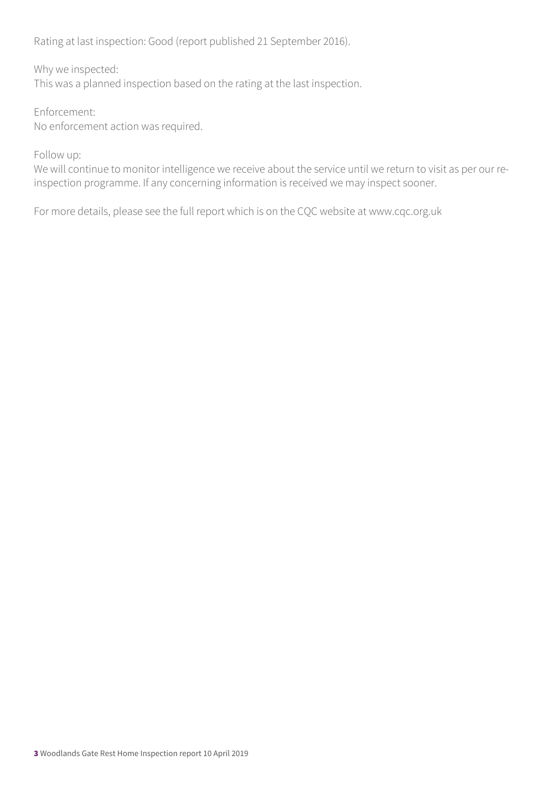Rating at last inspection: Good (report published 21 September 2016).

Why we inspected:

This was a planned inspection based on the rating at the last inspection.

Enforcement: No enforcement action was required.

Follow up:

We will continue to monitor intelligence we receive about the service until we return to visit as per our reinspection programme. If any concerning information is received we may inspect sooner.

For more details, please see the full report which is on the CQC website at www.cqc.org.uk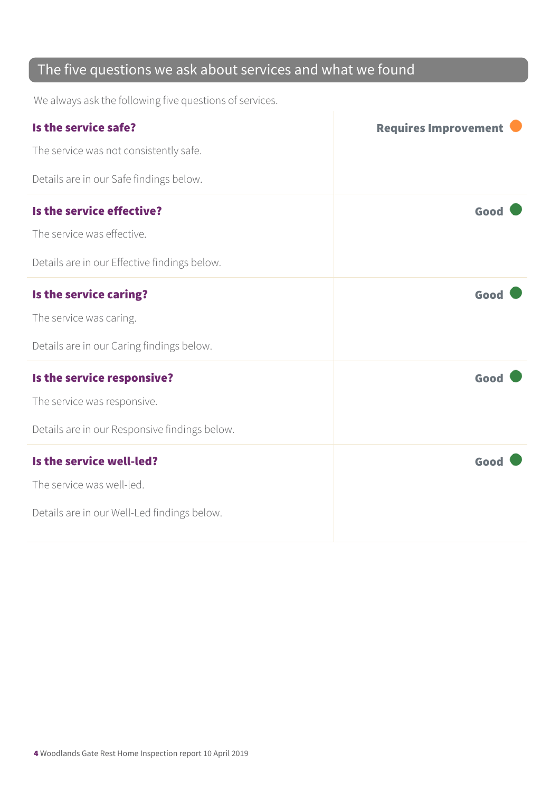#### The five questions we ask about services and what we found

We always ask the following five questions of services.

| Is the service safe?                          | <b>Requires Improvement</b> |
|-----------------------------------------------|-----------------------------|
| The service was not consistently safe.        |                             |
| Details are in our Safe findings below.       |                             |
| Is the service effective?                     | Good                        |
| The service was effective.                    |                             |
| Details are in our Effective findings below.  |                             |
| Is the service caring?                        | Good                        |
| The service was caring.                       |                             |
| Details are in our Caring findings below.     |                             |
| Is the service responsive?                    | Good                        |
| The service was responsive.                   |                             |
| Details are in our Responsive findings below. |                             |
| Is the service well-led?                      | Good                        |
| The service was well-led.                     |                             |
| Details are in our Well-Led findings below.   |                             |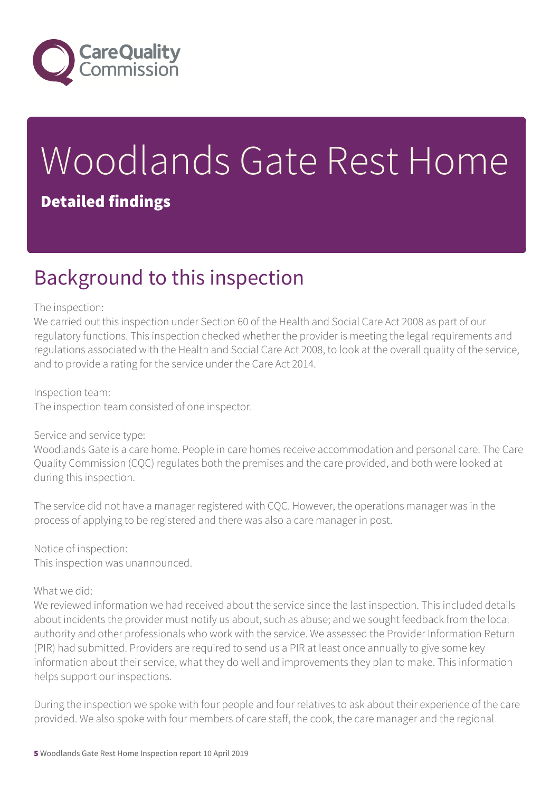

# Woodlands Gate Rest Home

#### Detailed findings

### Background to this inspection

#### The inspection:

We carried out this inspection under Section 60 of the Health and Social Care Act 2008 as part of our regulatory functions. This inspection checked whether the provider is meeting the legal requirements and regulations associated with the Health and Social Care Act 2008, to look at the overall quality of the service, and to provide a rating for the service under the Care Act 2014.

Inspection team:

The inspection team consisted of one inspector.

#### Service and service type:

Woodlands Gate is a care home. People in care homes receive accommodation and personal care. The Care Quality Commission (CQC) regulates both the premises and the care provided, and both were looked at during this inspection.

The service did not have a manager registered with CQC. However, the operations manager was in the process of applying to be registered and there was also a care manager in post.

Notice of inspection: This inspection was unannounced.

#### What we did:

We reviewed information we had received about the service since the last inspection. This included details about incidents the provider must notify us about, such as abuse; and we sought feedback from the local authority and other professionals who work with the service. We assessed the Provider Information Return (PIR) had submitted. Providers are required to send us a PIR at least once annually to give some key information about their service, what they do well and improvements they plan to make. This information helps support our inspections.

During the inspection we spoke with four people and four relatives to ask about their experience of the care provided. We also spoke with four members of care staff, the cook, the care manager and the regional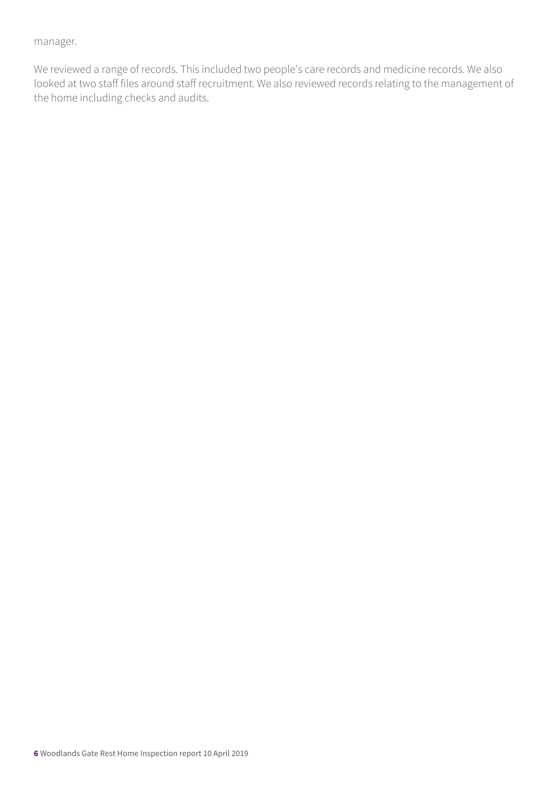manager.

We reviewed a range of records. This included two people's care records and medicine records. We also looked at two staff files around staff recruitment. We also reviewed records relating to the management of the home including checks and audits.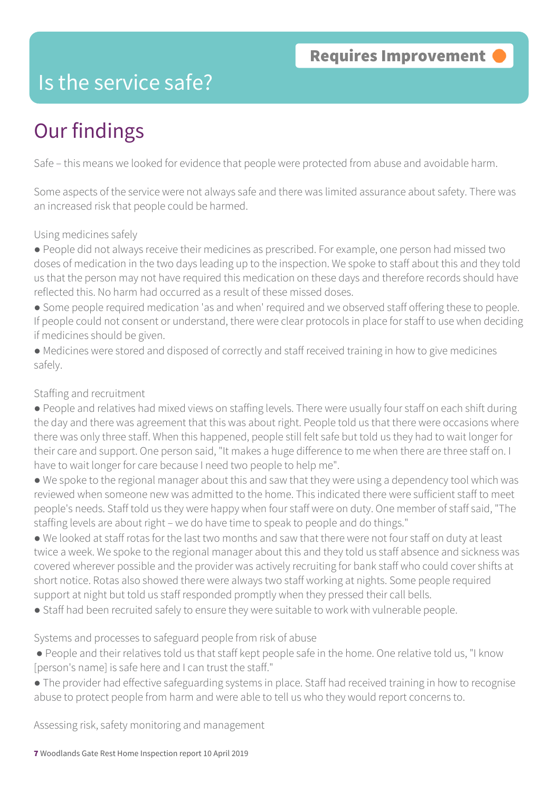### Is the service safe?

### Our findings

Safe – this means we looked for evidence that people were protected from abuse and avoidable harm.

Some aspects of the service were not always safe and there was limited assurance about safety. There was an increased risk that people could be harmed.

#### Using medicines safely

● People did not always receive their medicines as prescribed. For example, one person had missed two doses of medication in the two days leading up to the inspection. We spoke to staff about this and they told us that the person may not have required this medication on these days and therefore records should have reflected this. No harm had occurred as a result of these missed doses.

• Some people required medication 'as and when' required and we observed staff offering these to people. If people could not consent or understand, there were clear protocols in place for staff to use when deciding if medicines should be given.

● Medicines were stored and disposed of correctly and staff received training in how to give medicines safely.

#### Staffing and recruitment

● People and relatives had mixed views on staffing levels. There were usually four staff on each shift during the day and there was agreement that this was about right. People told us that there were occasions where there was only three staff. When this happened, people still felt safe but told us they had to wait longer for their care and support. One person said, "It makes a huge difference to me when there are three staff on. I have to wait longer for care because I need two people to help me".

● We spoke to the regional manager about this and saw that they were using a dependency tool which was reviewed when someone new was admitted to the home. This indicated there were sufficient staff to meet people's needs. Staff told us they were happy when four staff were on duty. One member of staff said, "The staffing levels are about right – we do have time to speak to people and do things."

● We looked at staff rotas for the last two months and saw that there were not four staff on duty at least twice a week. We spoke to the regional manager about this and they told us staff absence and sickness was covered wherever possible and the provider was actively recruiting for bank staff who could cover shifts at short notice. Rotas also showed there were always two staff working at nights. Some people required support at night but told us staff responded promptly when they pressed their call bells.

● Staff had been recruited safely to ensure they were suitable to work with vulnerable people.

#### Systems and processes to safeguard people from risk of abuse

- People and their relatives told us that staff kept people safe in the home. One relative told us, "I know [person's name] is safe here and I can trust the staff."
- The provider had effective safeguarding systems in place. Staff had received training in how to recognise abuse to protect people from harm and were able to tell us who they would report concerns to.

Assessing risk, safety monitoring and management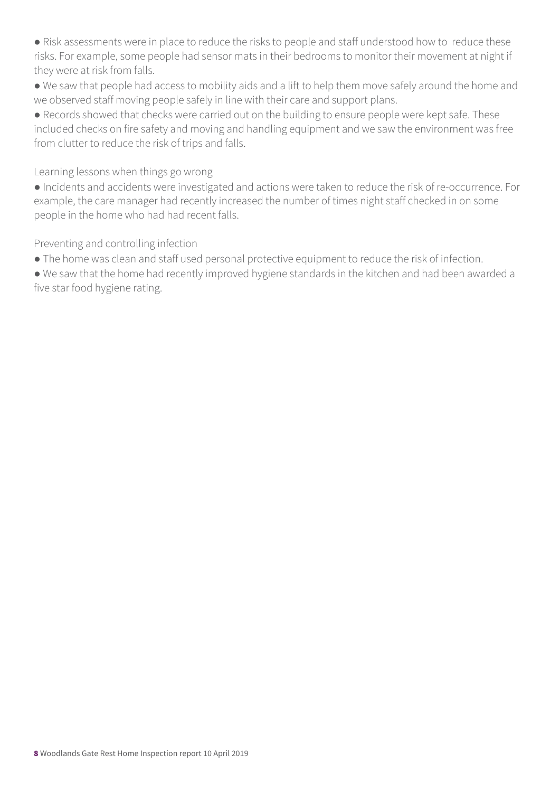• Risk assessments were in place to reduce the risks to people and staff understood how to reduce these risks. For example, some people had sensor mats in their bedrooms to monitor their movement at night if they were at risk from falls.

● We saw that people had access to mobility aids and a lift to help them move safely around the home and we observed staff moving people safely in line with their care and support plans.

● Records showed that checks were carried out on the building to ensure people were kept safe. These included checks on fire safety and moving and handling equipment and we saw the environment was free from clutter to reduce the risk of trips and falls.

Learning lessons when things go wrong

● Incidents and accidents were investigated and actions were taken to reduce the risk of re-occurrence. For example, the care manager had recently increased the number of times night staff checked in on some people in the home who had had recent falls.

Preventing and controlling infection

● The home was clean and staff used personal protective equipment to reduce the risk of infection.

● We saw that the home had recently improved hygiene standards in the kitchen and had been awarded a five star food hygiene rating.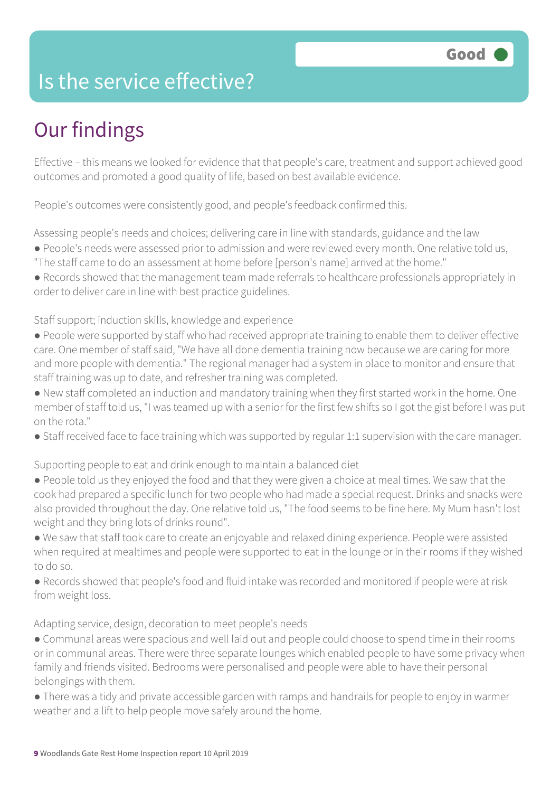### Is the service effective?

### Our findings

Effective – this means we looked for evidence that that people's care, treatment and support achieved good outcomes and promoted a good quality of life, based on best available evidence.

People's outcomes were consistently good, and people's feedback confirmed this.

Assessing people's needs and choices; delivering care in line with standards, guidance and the law

- People's needs were assessed prior to admission and were reviewed every month. One relative told us,
- "The staff came to do an assessment at home before [person's name] arrived at the home."
- Records showed that the management team made referrals to healthcare professionals appropriately in order to deliver care in line with best practice guidelines.

Staff support; induction skills, knowledge and experience

- People were supported by staff who had received appropriate training to enable them to deliver effective care. One member of staff said, "We have all done dementia training now because we are caring for more and more people with dementia." The regional manager had a system in place to monitor and ensure that staff training was up to date, and refresher training was completed.
- New staff completed an induction and mandatory training when they first started work in the home. One member of staff told us, "I was teamed up with a senior for the first few shifts so I got the gist before I was put on the rota."
- Staff received face to face training which was supported by regular 1:1 supervision with the care manager.

Supporting people to eat and drink enough to maintain a balanced diet

- People told us they enjoyed the food and that they were given a choice at meal times. We saw that the cook had prepared a specific lunch for two people who had made a special request. Drinks and snacks were also provided throughout the day. One relative told us, "The food seems to be fine here. My Mum hasn't lost weight and they bring lots of drinks round".
- We saw that staff took care to create an enjoyable and relaxed dining experience. People were assisted when required at mealtimes and people were supported to eat in the lounge or in their rooms if they wished to do so.
- Records showed that people's food and fluid intake was recorded and monitored if people were at risk from weight loss.

Adapting service, design, decoration to meet people's needs

- Communal areas were spacious and well laid out and people could choose to spend time in their rooms or in communal areas. There were three separate lounges which enabled people to have some privacy when family and friends visited. Bedrooms were personalised and people were able to have their personal belongings with them.
- There was a tidy and private accessible garden with ramps and handrails for people to enjoy in warmer weather and a lift to help people move safely around the home.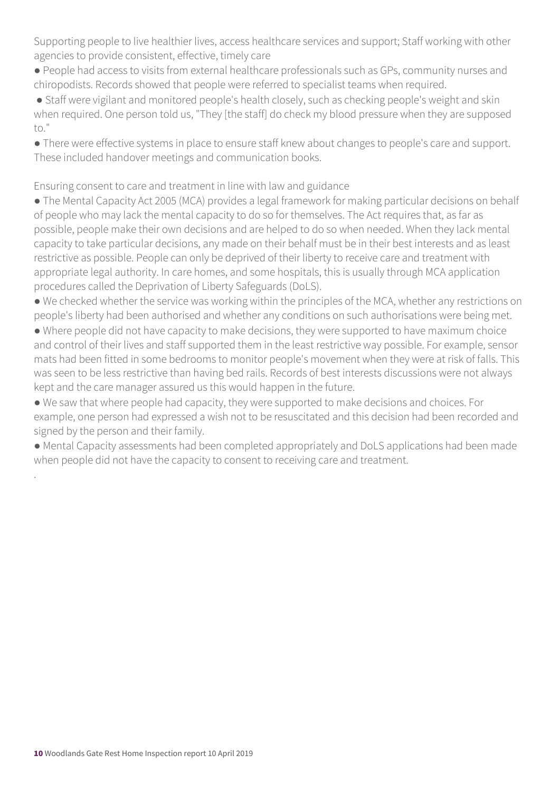Supporting people to live healthier lives, access healthcare services and support; Staff working with other agencies to provide consistent, effective, timely care

- People had access to visits from external healthcare professionals such as GPs, community nurses and chiropodists. Records showed that people were referred to specialist teams when required.
- Staff were vigilant and monitored people's health closely, such as checking people's weight and skin when required. One person told us, "They [the staff] do check my blood pressure when they are supposed to."
- There were effective systems in place to ensure staff knew about changes to people's care and support. These included handover meetings and communication books.

Ensuring consent to care and treatment in line with law and guidance

- The Mental Capacity Act 2005 (MCA) provides a legal framework for making particular decisions on behalf of people who may lack the mental capacity to do so for themselves. The Act requires that, as far as possible, people make their own decisions and are helped to do so when needed. When they lack mental capacity to take particular decisions, any made on their behalf must be in their best interests and as least restrictive as possible. People can only be deprived of their liberty to receive care and treatment with appropriate legal authority. In care homes, and some hospitals, this is usually through MCA application procedures called the Deprivation of Liberty Safeguards (DoLS).
- We checked whether the service was working within the principles of the MCA, whether any restrictions on people's liberty had been authorised and whether any conditions on such authorisations were being met.
- Where people did not have capacity to make decisions, they were supported to have maximum choice and control of their lives and staff supported them in the least restrictive way possible. For example, sensor mats had been fitted in some bedrooms to monitor people's movement when they were at risk of falls. This was seen to be less restrictive than having bed rails. Records of best interests discussions were not always kept and the care manager assured us this would happen in the future.
- We saw that where people had capacity, they were supported to make decisions and choices. For example, one person had expressed a wish not to be resuscitated and this decision had been recorded and signed by the person and their family.
- Mental Capacity assessments had been completed appropriately and DoLS applications had been made when people did not have the capacity to consent to receiving care and treatment.

.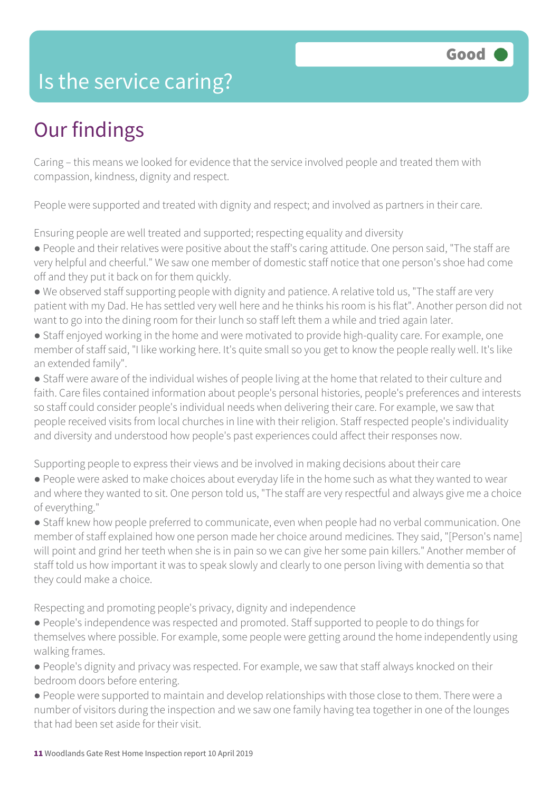### Is the service caring?

### Our findings

Caring – this means we looked for evidence that the service involved people and treated them with compassion, kindness, dignity and respect.

People were supported and treated with dignity and respect; and involved as partners in their care.

Ensuring people are well treated and supported; respecting equality and diversity

● People and their relatives were positive about the staff's caring attitude. One person said, "The staff are very helpful and cheerful." We saw one member of domestic staff notice that one person's shoe had come off and they put it back on for them quickly.

- We observed staff supporting people with dignity and patience. A relative told us, "The staff are very patient with my Dad. He has settled very well here and he thinks his room is his flat". Another person did not want to go into the dining room for their lunch so staff left them a while and tried again later.
- Staff enjoyed working in the home and were motivated to provide high-quality care. For example, one member of staff said, "I like working here. It's quite small so you get to know the people really well. It's like an extended family".

● Staff were aware of the individual wishes of people living at the home that related to their culture and faith. Care files contained information about people's personal histories, people's preferences and interests so staff could consider people's individual needs when delivering their care. For example, we saw that people received visits from local churches in line with their religion. Staff respected people's individuality and diversity and understood how people's past experiences could affect their responses now.

Supporting people to express their views and be involved in making decisions about their care

● People were asked to make choices about everyday life in the home such as what they wanted to wear and where they wanted to sit. One person told us, "The staff are very respectful and always give me a choice of everything."

● Staff knew how people preferred to communicate, even when people had no verbal communication. One member of staff explained how one person made her choice around medicines. They said, "[Person's name] will point and grind her teeth when she is in pain so we can give her some pain killers." Another member of staff told us how important it was to speak slowly and clearly to one person living with dementia so that they could make a choice.

Respecting and promoting people's privacy, dignity and independence

- People's independence was respected and promoted. Staff supported to people to do things for themselves where possible. For example, some people were getting around the home independently using walking frames.
- People's dignity and privacy was respected. For example, we saw that staff always knocked on their bedroom doors before entering.
- People were supported to maintain and develop relationships with those close to them. There were a number of visitors during the inspection and we saw one family having tea together in one of the lounges that had been set aside for their visit.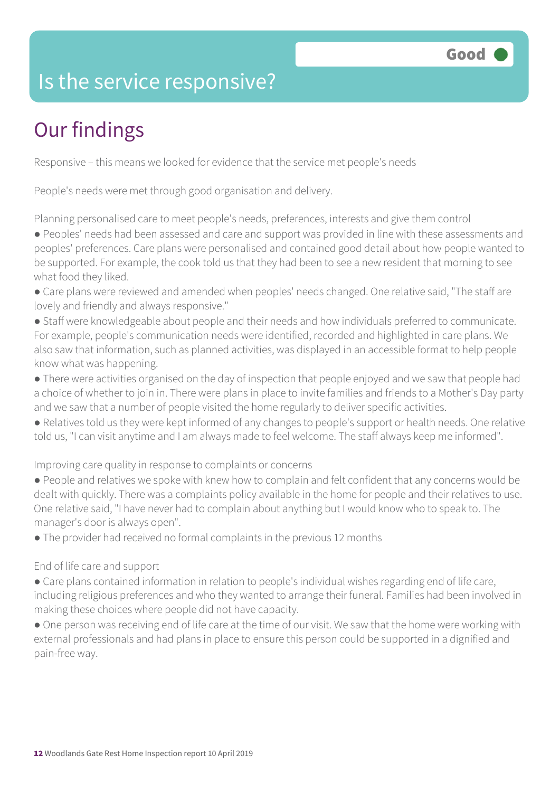### Is the service responsive?

### Our findings

Responsive – this means we looked for evidence that the service met people's needs

People's needs were met through good organisation and delivery.

Planning personalised care to meet people's needs, preferences, interests and give them control

● Peoples' needs had been assessed and care and support was provided in line with these assessments and peoples' preferences. Care plans were personalised and contained good detail about how people wanted to be supported. For example, the cook told us that they had been to see a new resident that morning to see what food they liked.

- Care plans were reviewed and amended when peoples' needs changed. One relative said, "The staff are lovely and friendly and always responsive."
- Staff were knowledgeable about people and their needs and how individuals preferred to communicate. For example, people's communication needs were identified, recorded and highlighted in care plans. We also saw that information, such as planned activities, was displayed in an accessible format to help people know what was happening.
- There were activities organised on the day of inspection that people enjoyed and we saw that people had a choice of whether to join in. There were plans in place to invite families and friends to a Mother's Day party and we saw that a number of people visited the home regularly to deliver specific activities.
- Relatives told us they were kept informed of any changes to people's support or health needs. One relative told us, "I can visit anytime and I am always made to feel welcome. The staff always keep me informed".

Improving care quality in response to complaints or concerns

- People and relatives we spoke with knew how to complain and felt confident that any concerns would be dealt with quickly. There was a complaints policy available in the home for people and their relatives to use. One relative said, "I have never had to complain about anything but I would know who to speak to. The manager's door is always open".
- The provider had received no formal complaints in the previous 12 months

#### End of life care and support

- Care plans contained information in relation to people's individual wishes regarding end of life care, including religious preferences and who they wanted to arrange their funeral. Families had been involved in making these choices where people did not have capacity.
- One person was receiving end of life care at the time of our visit. We saw that the home were working with external professionals and had plans in place to ensure this person could be supported in a dignified and pain-free way.